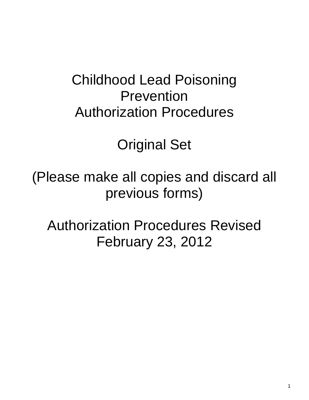# Childhood Lead Poisoning Prevention Authorization Procedures

Original Set

(Please make all copies and discard all previous forms)

Authorization Procedures Revised February 23, 2012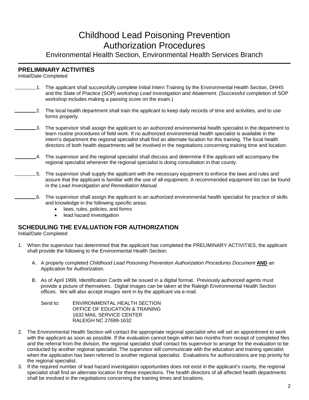## Childhood Lead Poisoning Prevention Authorization Procedures

Environmental Health Section, Environmental Health Services Branch

#### **PRELIMINARY ACTIVITIES**

Initial/Date Completed

- $\_1$ . The applicant shall successfully complete Initial Intern Training by the Environmental Health Section, DHHS and the State of Practice (SOP) workshop *Lead Investigation and Abatement*. (Successful completion of SOP workshop includes making a passing score on the exam.)
- <sub>2.</sub> The local health department shall train the applicant to keep daily records of time and activities, and to use forms properly.
	- 3. The supervisor shall assign the applicant to an authorized environmental health specialist in the department to learn routine procedures of field work. If no authorized environmental health specialist is available in the intern's department the regional specialist shall find an alternate location for this training. The local health directors of both health departments will be involved in the negotiations concerning training time and location.
		- 4. The supervisor and the regional specialist shall discuss and determine if the applicant will accompany the regional specialist whenever the regional specialist is doing consultation in that county.
		- 5. The supervisor shall supply the applicant with the necessary equipment to enforce the laws and rules and assure that the applicant is familiar with the use of all equipment. A recommended equipment list can be found in the *Lead Investigation and Remediation Manual.*
	- 6. The supervisor shall assign the applicant to an authorized environmental health specialist for practice of skills and knowledge in the following specific areas:
		- laws, rules, policies, and forms
		- lead hazard investigation

#### **SCHEDULING THE EVALUATION FOR AUTHORIZATION**

Initial/Date Completed

- 1. When the supervisor has determined that the applicant has completed the PRELIMINARY ACTIVITIES, the applicant shall provide the following to the Environmental Health Section:
	- A. A properly completed *Childhood Lead Poisoning Prevention Authorization Procedur*es *Document* **AND** an Application for Authorization.
	- B. As of April 1999, Identification Cards will be issued in a digital format. Previously authorized agents must provide a picture of themselves. Digital images can be taken at the Raleigh Environmental Health Section offices. We will also accept images sent in by the applicant via e-mail.

Send to: ENVIRONMENTAL HEALTH SECTION OFFICE OF EDUCATION & TRAINING 1632 MAIL SERVICE CENTER RALEIGH NC 27699-1632

- 2. The Environmental Health Section will contact the appropriate regional specialist who will set an appointment to work with the applicant as soon as possible. If the evaluation cannot begin within two months from receipt of completed files and the referral from the division, the regional specialist shall contact his supervisor to arrange for the evaluation to be conducted by another regional specialist. The supervisor will communicate with the education and training specialist when the application has been referred to another regional specialist. Evaluations for authorizations are top priority for the regional specialist.
- 3. If the required number of lead hazard investigation opportunities does not exist in the applicant's county, the regional specialist shall find an alternate location for these inspections. The health directors of all affected health departments shall be involved in the negotiations concerning the training times and locations.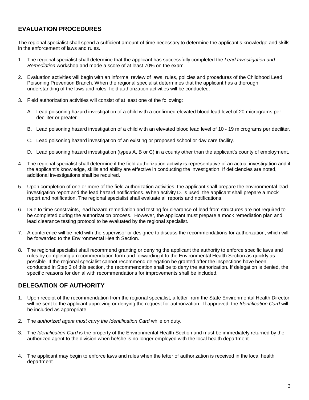### **EVALUATION PROCEDURES**

The regional specialist shall spend a sufficient amount of time necessary to determine the applicant's knowledge and skills in the enforcement of laws and rules.

- 1. The regional specialist shall determine that the applicant has successfully completed the *Lead Investigation and Remediation* workshop and made a score of at least 70% on the exam.
- 2. Evaluation activities will begin with an informal review of laws, rules, policies and procedures of the Childhood Lead Poisoning Prevention Branch. When the regional specialist determines that the applicant has a thorough understanding of the laws and rules, field authorization activities will be conducted.
- 3. Field authorization activities will consist of at least one of the following:
	- A. Lead poisoning hazard investigation of a child with a confirmed elevated blood lead level of 20 micrograms per deciliter or greater.
	- B. Lead poisoning hazard investigation of a child with an elevated blood lead level of 10 19 micrograms per deciliter.
	- C. Lead poisoning hazard investigation of an existing or proposed school or day care facility.
	- D. Lead poisoning hazard investigation (types A, B or C) in a county other than the applicant's county of employment.
- 4. The regional specialist shall determine if the field authorization activity is representative of an actual investigation and if the applicant's knowledge, skills and ability are effective in conducting the investigation. If deficiencies are noted, additional investigations shall be required.
- 5. Upon completion of one or more of the field authorization activities, the applicant shall prepare the environmental lead investigation report and the lead hazard notifications. When activity D. is used, the applicant shall prepare a mock report and notification. The regional specialist shall evaluate all reports and notifications.
- 6. Due to time constraints, lead hazard remediation and testing for clearance of lead from structures are not required to be completed during the authorization process. However, the applicant must prepare a mock remediation plan and lead clearance testing protocol to be evaluated by the regional specialist.
- 7. A conference will be held with the supervisor or designee to discuss the recommendations for authorization, which will be forwarded to the Environmental Health Section.
- 8. The regional specialist shall recommend granting or denying the applicant the authority to enforce specific laws and rules by completing a recommendation form and forwarding it to the Environmental Health Section as quickly as possible. If the regional specialist cannot recommend delegation be granted after the inspections have been conducted in Step 3 of this section, the recommendation shall be to deny the authorization. If delegation is denied, the specific reasons for denial with recommendations for improvements shall be included.

#### **DELEGATION OF AUTHORITY**

- 1. Upon receipt of the recommendation from the regional specialist, a letter from the State Environmental Health Director will be sent to the applicant approving or denying the request for authorization. If approved, the *Identification Card* will be included as appropriate.
- 2. The *authorized agent must carry the Identification Card* while on duty.
- 3. The *Identification Card* is the property of the Environmental Health Section and must be immediately returned by the authorized agent to the division when he/she is no longer employed with the local health department.
- 4. The applicant may begin to enforce laws and rules when the letter of authorization is received in the local health department.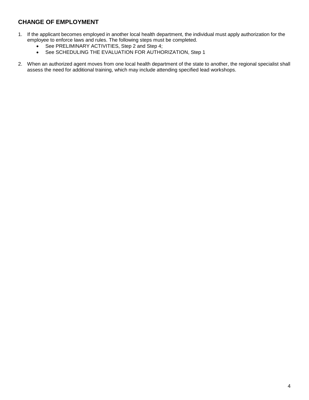### **CHANGE OF EMPLOYMENT**

- 1. If the applicant becomes employed in another local health department, the individual must apply authorization for the employee to enforce laws and rules. The following steps must be completed.
	- See PRELIMINARY ACTIVITIES, Step 2 and Step 4;
	- See SCHEDULING THE EVALUATION FOR AUTHORIZATION, Step 1
- 2. When an authorized agent moves from one local health department of the state to another, the regional specialist shall assess the need for additional training, which may include attending specified lead workshops.